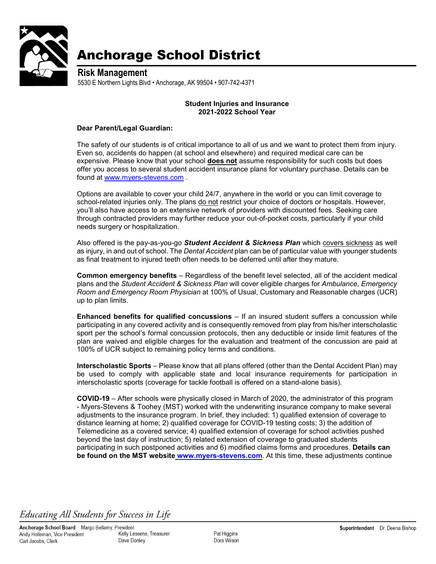

## **Anchorage School District**

**Risk Management** 5530 E Northern Lights Blvd • Anchorage, AK 99504 • 907-742-4371

## **Student Injuries and Insurance 2021-2022 School Year**

## **Dear Parent/Legal Guardian:**

The safety of our students is of critical importance to all of us and we want to protect them from injury. Even so, accidents do happen (at school and elsewhere) and required medical care can be expensive. Please know that your school **does not** assume responsibility for such costs but does offer you access to several student accident insurance plans for voluntary purchase. Details can be found at [www.myers-stevens.com](http://www.myers-stevens.com/) .

Options are available to cover your child 24/7, anywhere in the world or you can limit coverage to school-related injuries only. The plans do not restrict your choice of doctors or hospitals. However, you'll also have access to an extensive network of providers with discounted fees. Seeking care through contracted providers may further reduce your out-of-pocket costs, particularly if your child needs surgery or hospitalization.

Also offered is the pay-as-you-go *Student Accident & Sickness Plan* which covers sickness as well as injury, in and out of school. The *Dental Accident* plan can be of particular value with younger students as final treatment to injured teeth often needs to be deferred until after they mature.

**Common emergency benefits** – Regardless of the benefit level selected, all of the accident medical plans and the *Student Accident & Sickness Plan* will cover eligible charges for *Ambulance, Emergency Room and Emergency Room Physician* at 100% of Usual, Customary and Reasonable charges (UCR) up to plan limits.

**Enhanced benefits for qualified concussions** – If an insured student suffers a concussion while participating in any covered activity and is consequently removed from play from his/her interscholastic sport per the school's formal concussion protocols, then any deductible or inside limit features of the plan are waived and eligible charges for the evaluation and treatment of the concussion are paid at 100% of UCR subject to remaining policy terms and conditions.

**Interscholastic Sports** – Please know that all plans offered (other than the Dental Accident Plan) may be used to comply with applicable state and local insurance requirements for participation in interscholastic sports (coverage for tackle football is offered on a stand-alone basis).

**COVID-19** – After schools were physically closed in March of 2020, the administrator of this program - Myers-Stevens & Toohey (MST) worked with the underwriting insurance company to make several adjustments to the insurance program. In brief, they included: 1) qualified extension of coverage to distance learning at home; 2) qualified coverage for COVID-19 testing costs; 3) the addition of Telemedicine as a covered service; 4) qualified extension of coverage for school activities pushed beyond the last day of instruction; 5) related extension of coverage to graduated students participating in such postponed activities and 6) modified claims forms and procedures. **Details can be found on the MST website [www.myers-stevens.com](http://www.myers-stevens.com/)**. At this time, these adjustments continue

## Educating All Students for Success in Life